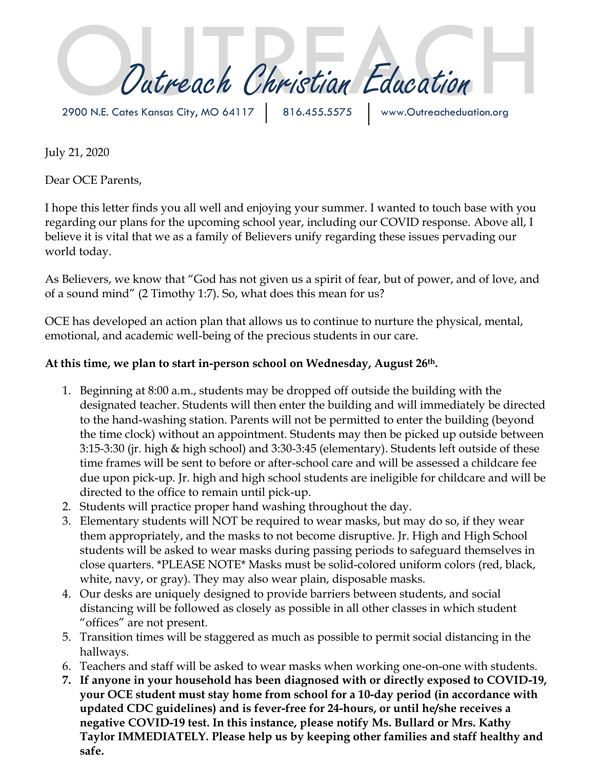Outreach Christian Education

2900 N.E. Cates Kansas City, MO 64117 | 816.455.5575

July 21, 2020

Dear OCE Parents,

I hope this letter finds you all well and enjoying your summer. I wanted to touch base with you regarding our plans for the upcoming school year, including our COVID response. Above all, I believe it is vital that we as a family of Believers unify regarding these issues pervading our world today.

As Believers, we know that "God has not given us a spirit of fear, but of power, and of love, and of a sound mind" (2 Timothy 1:7). So, what does this mean for us?

OCE has developed an action plan that allows us to continue to nurture the physical, mental, emotional, and academic well-being of the precious students in our care.

## **At this time, we plan to start in-person school on Wednesday, August 26th.**

- 1. Beginning at 8:00 a.m., students may be dropped off outside the building with the designated teacher. Students will then enter the building and will immediately be directed to the hand-washing station. Parents will not be permitted to enter the building (beyond the time clock) without an appointment. Students may then be picked up outside between 3:15-3:30 (jr. high & high school) and 3:30-3:45 (elementary). Students left outside of these time frames will be sent to before or after-school care and will be assessed a childcare fee due upon pick-up. Jr. high and high school students are ineligible for childcare and will be directed to the office to remain until pick-up.
- 2. Students will practice proper hand washing throughout the day.
- 3. Elementary students will NOT be required to wear masks, but may do so, if they wear them appropriately, and the masks to not become disruptive. Jr. High and High School students will be asked to wear masks during passing periods to safeguard themselves in close quarters. \*PLEASE NOTE\* Masks must be solid-colored uniform colors (red, black, white, navy, or gray). They may also wear plain, disposable masks.
- 4. Our desks are uniquely designed to provide barriers between students, and social distancing will be followed as closely as possible in all other classes in which student "offices" are not present.
- 5. Transition times will be staggered as much as possible to permit social distancing in the hallways.
- 6. Teachers and staff will be asked to wear masks when working one-on-one with students.
- **7. If anyone in your household has been diagnosed with or directly exposed to COVID-19, your OCE student must stay home from school for a 10-day period (in accordance with updated CDC guidelines) and is fever-free for 24-hours, or until he/she receives a negative COVID-19 test. In this instance, please notify Ms. Bullard or Mrs. Kathy Taylor IMMEDIATELY. Please help us by keeping other families and staff healthy and safe.**